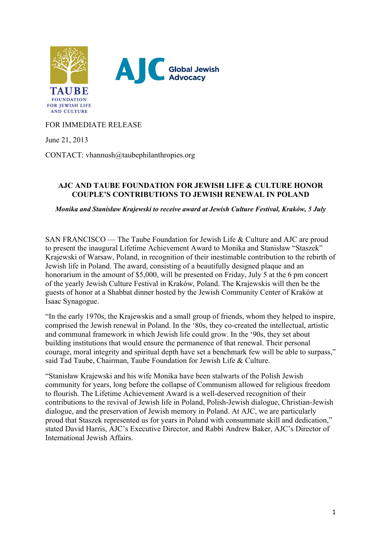

FOR IMMEDIATE RELEASE

June 21, 2013

CONTACT: vhannush@taubephilanthropies.org

## **AJC AND TAUBE FOUNDATION FOR JEWISH LIFE & CULTURE HONOR COUPLE'S CONTRIBUTIONS TO JEWISH RENEWAL IN POLAND**

*Monika and Stanisław Krajewski to receive award at Jewish Culture Festival, Kraków, 5 July*

SAN FRANCISCO — The Taube Foundation for Jewish Life & Culture and AJC are proud to present the inaugural Lifetime Achievement Award to Monika and Stanisław "Staszek" Krajewski of Warsaw, Poland, in recognition of their inestimable contribution to the rebirth of Jewish life in Poland. The award, consisting of a beautifully designed plaque and an honorarium in the amount of \$5,000, will be presented on Friday, July 5 at the 6 pm concert of the yearly Jewish Culture Festival in Kraków, Poland. The Krajewskis will then be the guests of honor at a Shabbat dinner hosted by the Jewish Community Center of Kraków at Isaac Synagogue.

"In the early 1970s, the Krajewskis and a small group of friends, whom they helped to inspire, comprised the Jewish renewal in Poland. In the '80s, they co-created the intellectual, artistic and communal framework in which Jewish life could grow. In the '90s, they set about building institutions that would ensure the permanence of that renewal. Their personal courage, moral integrity and spiritual depth have set a benchmark few will be able to surpass," said Tad Taube, Chairman, Taube Foundation for Jewish Life & Culture.

"Stanisław Krajewski and his wife Monika have been stalwarts of the Polish Jewish community for years, long before the collapse of Communism allowed for religious freedom to flourish. The Lifetime Achievement Award is a well-deserved recognition of their contributions to the revival of Jewish life in Poland, Polish-Jewish dialogue, Christian-Jewish dialogue, and the preservation of Jewish memory in Poland. At AJC, we are particularly proud that Staszek represented us for years in Poland with consummate skill and dedication," stated David Harris, AJC's Executive Director, and Rabbi Andrew Baker, AJC's Director of International Jewish Affairs.